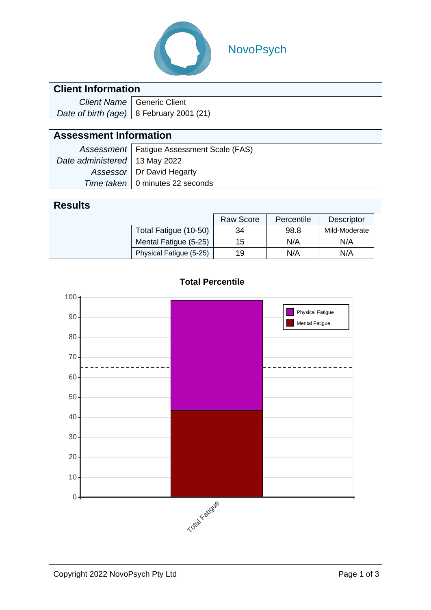

# NovoPsych

### **Client Information**

| Client Name   Generic Client               |  |  |
|--------------------------------------------|--|--|
| Date of birth (age)   8 February 2001 (21) |  |  |

# **Assessment Information**

|                                 | Assessment   Fatigue Assessment Scale (FAS) |
|---------------------------------|---------------------------------------------|
| Date administered   13 May 2022 |                                             |
|                                 | Assessor   Dr David Hegarty                 |
|                                 | Time taken   0 minutes 22 seconds           |

## **Results**

|                         | <b>Raw Score</b> | Percentile | <b>Descriptor</b> |
|-------------------------|------------------|------------|-------------------|
| Total Fatigue (10-50)   | 34               | 98.8       | Mild-Moderate     |
| Mental Fatigue (5-25)   | 15               | N/A        | N/A               |
| Physical Fatigue (5-25) | 19               | N/A        | N/A               |



#### **Total Percentile**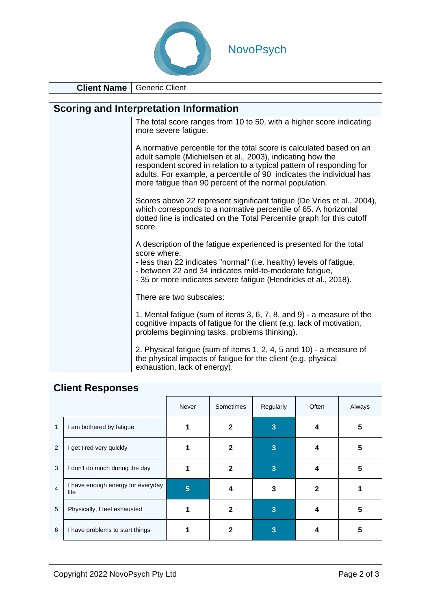

**Client Name** Generic Client

| <b>Client Name</b> i | Generic Client                                                                                                                                                                                                                                                                                                                               |
|----------------------|----------------------------------------------------------------------------------------------------------------------------------------------------------------------------------------------------------------------------------------------------------------------------------------------------------------------------------------------|
|                      |                                                                                                                                                                                                                                                                                                                                              |
|                      | Scoring and Interpretation Information                                                                                                                                                                                                                                                                                                       |
|                      | The total score ranges from 10 to 50, with a higher score indicating<br>more severe fatigue.                                                                                                                                                                                                                                                 |
|                      | A normative percentile for the total score is calculated based on an<br>adult sample (Michielsen et al., 2003), indicating how the<br>respondent scored in relation to a typical pattern of responding for<br>adults. For example, a percentile of 90 indicates the individual has<br>more fatigue than 90 percent of the normal population. |
|                      | Scores above 22 represent significant fatigue (De Vries et al., 2004),<br>which corresponds to a normative percentile of 65. A horizontal<br>dotted line is indicated on the Total Percentile graph for this cutoff<br>score.                                                                                                                |
|                      | A description of the fatigue experienced is presented for the total<br>score where:<br>- less than 22 indicates "normal" (i.e. healthy) levels of fatigue,<br>- between 22 and 34 indicates mild-to-moderate fatigue,<br>- 35 or more indicates severe fatigue (Hendricks et al., 2018).                                                     |
|                      | There are two subscales:                                                                                                                                                                                                                                                                                                                     |
|                      | 1. Mental fatigue (sum of items 3, 6, 7, 8, and 9) - a measure of the<br>cognitive impacts of fatigue for the client (e.g. lack of motivation,<br>problems beginning tasks, problems thinking).                                                                                                                                              |
|                      | 2. Physical fatigue (sum of items 1, 2, 4, 5 and 10) - a measure of<br>the physical impacts of fatigue for the client (e.g. physical                                                                                                                                                                                                         |

exhaustion, lack of energy).

# **Client Responses**

|                |                                           | Never | Sometimes    | Regularly | Often | Always |
|----------------|-------------------------------------------|-------|--------------|-----------|-------|--------|
| 1              | I am bothered by fatigue                  |       |              | 3         |       | 5      |
| 2              | I get tired very quickly                  |       | 2            | 3         |       | 5      |
| 3              | I don't do much during the day            |       | $\mathbf{2}$ | 3         |       | 5      |
| $\overline{4}$ | I have enough energy for everyday<br>life | 5     | 4            | 3         | 2     |        |
| 5              | Physically, I feel exhausted              |       | 2            | 3         |       | 5      |
| 6              | I have problems to start things           |       |              | 3         |       | 5      |